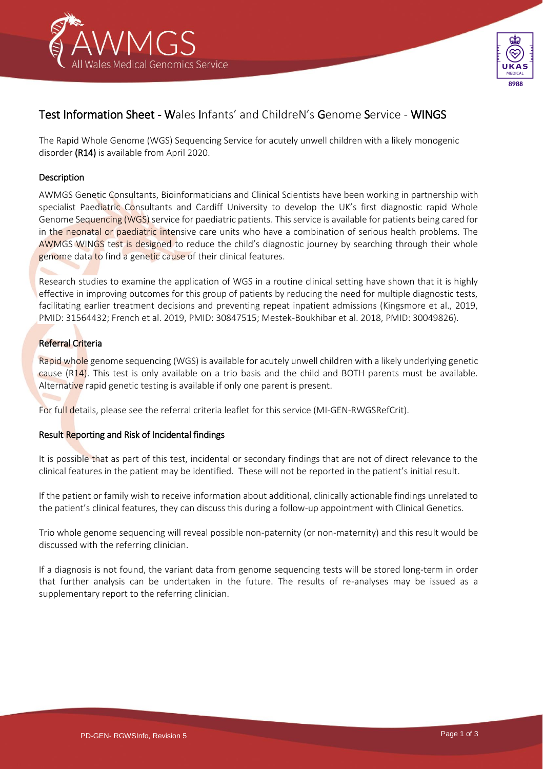



# Test Information Sheet - Wales Infants' and ChildreN's Genome Service - WINGS

The Rapid Whole Genome (WGS) Sequencing Service for acutely unwell children with a likely monogenic disorder (R14) is available from April 2020.

## Description

AWMGS Genetic Consultants, Bioinformaticians and Clinical Scientists have been working in partnership with specialist Paediatric Consultants and Cardiff University to develop the UK's first diagnostic rapid Whole Genome Sequencing (WGS) service for paediatric patients. This service is available for patients being cared for in the neonatal or paediatric intensive care units who have a combination of serious health problems. The AWMGS WINGS test is designed to reduce the child's diagnostic journey by searching through their whole genome data to find a genetic cause of their clinical features.

Research studies to examine the application of WGS in a routine clinical setting have shown that it is highly effective in improving outcomes for this group of patients by reducing the need for multiple diagnostic tests, facilitating earlier treatment decisions and preventing repeat inpatient admissions (Kingsmore et al., 2019, PMID: 31564432; French et al. 2019, PMID: 30847515; Mestek-Boukhibar et al. 2018, PMID: 30049826).

# Referral Criteria

Rapid whole genome sequencing (WGS) is available for acutely unwell children with a likely underlying genetic cause (R14). This test is only available on a trio basis and the child and BOTH parents must be available. Alternative rapid genetic testing is available if only one parent is present.

For full details, please see the referral criteria leaflet for this service (MI-GEN-RWGSRefCrit).

## Result Reporting and Risk of Incidental findings

It is possible that as part of this test, incidental or secondary findings that are not of direct relevance to the clinical features in the patient may be identified. These will not be reported in the patient's initial result.

If the patient or family wish to receive information about additional, clinically actionable findings unrelated to the patient's clinical features, they can discuss this during a follow-up appointment with Clinical Genetics.

Trio whole genome sequencing will reveal possible non-paternity (or non-maternity) and this result would be discussed with the referring clinician.

If a diagnosis is not found, the variant data from genome sequencing tests will be stored long-term in order that further analysis can be undertaken in the future. The results of re-analyses may be issued as a supplementary report to the referring clinician.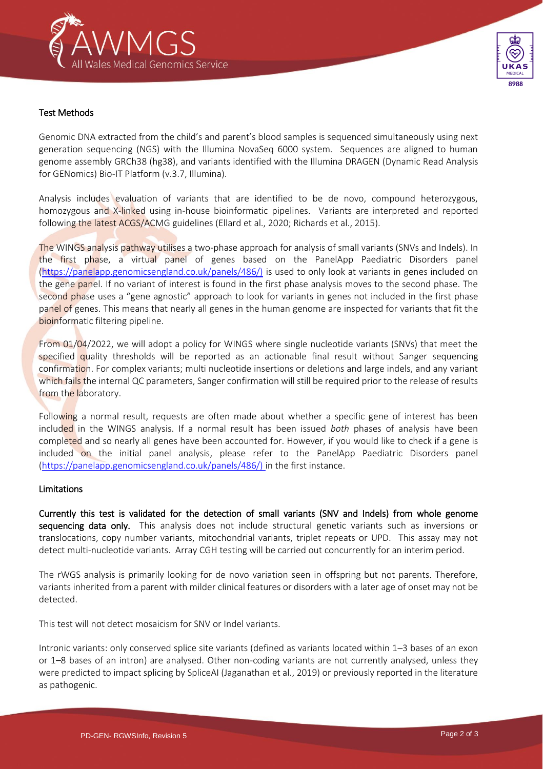



Genomic DNA extracted from the child's and parent's blood samples is sequenced simultaneously using next generation sequencing (NGS) with the Illumina NovaSeq 6000 system. Sequences are aligned to human genome assembly GRCh38 (hg38), and variants identified with the Illumina DRAGEN (Dynamic Read Analysis for GENomics) Bio-IT Platform (v.3.7, Illumina).

Analysis includes evaluation of variants that are identified to be de novo, compound heterozygous, homozygous and X-linked using in-house bioinformatic pipelines. Variants are interpreted and reported following the latest ACGS/ACMG guidelines (Ellard et al., 2020; Richards et al., 2015).

The WINGS analysis pathway utilises a two-phase approach for analysis of small variants (SNVs and Indels). In the first phase, a virtual panel of genes based on the PanelApp Paediatric Disorders panel [\(https://panelapp.genomicsengland.co.uk/panels/486/\)](https://panelapp.genomicsengland.co.uk/panels/486/)) is used to only look at variants in genes included on the gene panel. If no variant of interest is found in the first phase analysis moves to the second phase. The second phase uses a "gene agnostic" approach to look for variants in genes not included in the first phase panel of genes. This means that nearly all genes in the human genome are inspected for variants that fit the bioinformatic filtering pipeline.

From 01/04/2022, we will adopt a policy for WINGS where single nucleotide variants (SNVs) that meet the specified quality thresholds will be reported as an actionable final result without Sanger sequencing confirmation. For complex variants; multi nucleotide insertions or deletions and large indels, and any variant which fails the internal QC parameters, Sanger confirmation will still be required prior to the release of results from the laboratory.

Following a normal result, requests are often made about whether a specific gene of interest has been included in the WINGS analysis. If a normal result has been issued *both* phases of analysis have been completed and so nearly all genes have been accounted for. However, if you would like to check if a gene is included on the initial panel analysis, please refer to the PanelApp Paediatric Disorders panel [\(https://panelapp.genomicsengland.co.uk/panels/486/\)](https://panelapp.genomicsengland.co.uk/panels/486/)) in the first instance.

## Limitations

Currently this test is validated for the detection of small variants (SNV and Indels) from whole genome sequencing data only. This analysis does not include structural genetic variants such as inversions or translocations, copy number variants, mitochondrial variants, triplet repeats or UPD. This assay may not detect multi-nucleotide variants. Array CGH testing will be carried out concurrently for an interim period.

The rWGS analysis is primarily looking for de novo variation seen in offspring but not parents. Therefore, variants inherited from a parent with milder clinical features or disorders with a later age of onset may not be detected.

This test will not detect mosaicism for SNV or Indel variants.

Intronic variants: only conserved splice site variants (defined as variants located within 1–3 bases of an exon or 1–8 bases of an intron) are analysed. Other non-coding variants are not currently analysed, unless they were predicted to impact splicing by SpliceAI (Jaganathan et al., 2019) or previously reported in the literature as pathogenic.